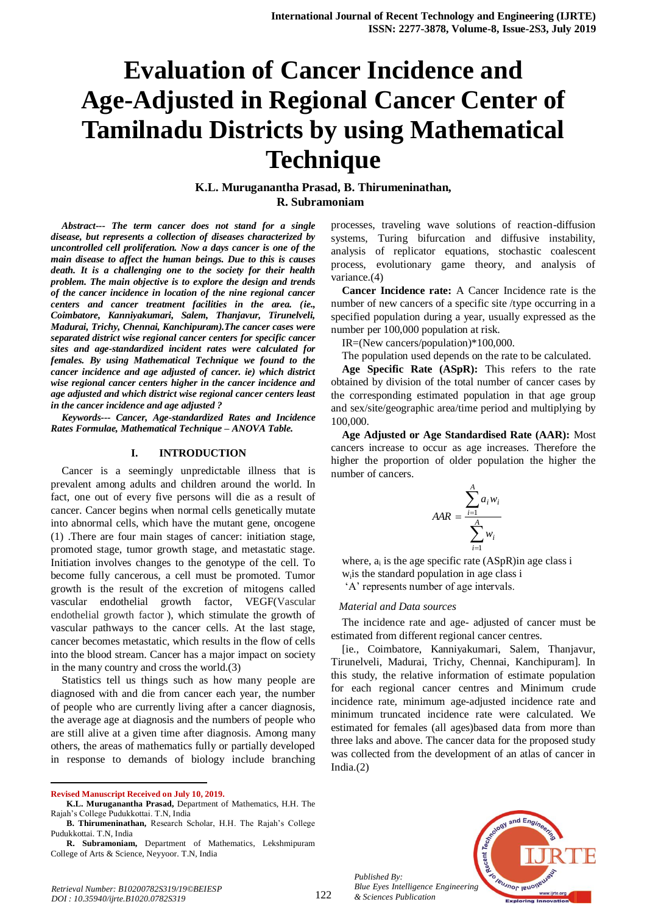# **Evaluation of Cancer Incidence and Age-Adjusted in Regional Cancer Center of Tamilnadu Districts by using Mathematical Technique**

**K.L. Muruganantha Prasad, B. Thirumeninathan, R. Subramoniam** 

*Abstract--- The term cancer does not stand for a single disease, but represents a collection of diseases characterized by uncontrolled cell proliferation. Now a days cancer is one of the main disease to affect the human beings. Due to this is causes death. It is a challenging one to the society for their health problem. The main objective is to explore the design and trends of the cancer incidence in location of the nine regional cancer centers and cancer treatment facilities in the area. (ie., Coimbatore, Kanniyakumari, Salem, Thanjavur, Tirunelveli, Madurai, Trichy, Chennai, Kanchipuram).The cancer cases were separated district wise regional cancer centers for specific cancer sites and age-standardized incident rates were calculated for females. By using Mathematical Technique we found to the cancer incidence and age adjusted of cancer. ie) which district wise regional cancer centers higher in the cancer incidence and age adjusted and which district wise regional cancer centers least in the cancer incidence and age adjusted ?*

*Keywords--- Cancer, Age-standardized Rates and Incidence Rates Formulae, Mathematical Technique – ANOVA Table.*

#### **I. INTRODUCTION**

Cancer is a seemingly unpredictable illness that is prevalent among adults and children around the world. In fact, one out of every five persons will die as a result of cancer. Cancer begins when normal cells genetically mutate into abnormal cells, which have the mutant gene, oncogene (1) .There are four main stages of cancer: initiation stage, promoted stage, tumor growth stage, and metastatic stage. Initiation involves changes to the genotype of the cell. To become fully cancerous, a cell must be promoted. Tumor growth is the result of the excretion of mitogens called vascular endothelial growth factor, VEGF(Vascular endothelial growth factor ), which stimulate the growth of vascular pathways to the cancer cells. At the last stage, cancer becomes metastatic, which results in the flow of cells into the blood stream. Cancer has a major impact on society in the many country and cross the world.(3)

Statistics tell us things such as how many people are diagnosed with and die from cancer each year, the number of people who are currently living after a cancer diagnosis, the average age at diagnosis and the numbers of people who are still alive at a given time after diagnosis. Among many others, the areas of mathematics fully or partially developed in response to demands of biology include branching

**Revised Manuscript Received on July 10, 2019.**

 $\overline{a}$ 

processes, traveling wave solutions of reaction-diffusion systems, Turing bifurcation and diffusive instability, analysis of replicator equations, stochastic coalescent process, evolutionary game theory, and analysis of variance.(4)

**Cancer Incidence rate:** A Cancer Incidence rate is the number of new cancers of a specific site /type occurring in a specified population during a year, usually expressed as the number per 100,000 population at risk.

IR=(New cancers/population)\*100,000.

The population used depends on the rate to be calculated.

**Age Specific Rate (ASpR):** This refers to the rate obtained by division of the total number of cancer cases by the corresponding estimated population in that age group and sex/site/geographic area/time period and multiplying by 100,000.

**Age Adjusted or Age Standardised Rate (AAR):** Most cancers increase to occur as age increases. Therefore the higher the proportion of older population the higher the number of cancers.

$$
AAR = \frac{\sum_{i=1}^{A} a_i w_i}{\sum_{i=1}^{A} w_i}
$$

where,  $a_i$  is the age specific rate (ASpR) in age class i wi is the standard population in age class i 'A' represents number of age intervals.

*Material and Data sources*

The incidence rate and age- adjusted of cancer must be estimated from different regional cancer centres.

[ie., Coimbatore, Kanniyakumari, Salem, Thanjavur, Tirunelveli, Madurai, Trichy, Chennai, Kanchipuram]. In this study, the relative information of estimate population for each regional cancer centres and Minimum crude incidence rate, minimum age-adjusted incidence rate and minimum truncated incidence rate were calculated. We estimated for females (all ages)based data from more than three laks and above. The cancer data for the proposed study was collected from the development of an atlas of cancer in India. $(2)$ 



*Published By: Blue Eyes Intelligence Engineering & Sciences Publication* 

**K.L. Muruganantha Prasad,** Department of Mathematics, H.H. The Rajah's College Pudukkottai. T.N, India

**B. Thirumeninathan,** Research Scholar, H.H. The Rajah's College Pudukkottai. T.N, India

**R. Subramoniam,** Department of Mathematics, Lekshmipuram College of Arts & Science, Neyyoor. T.N, India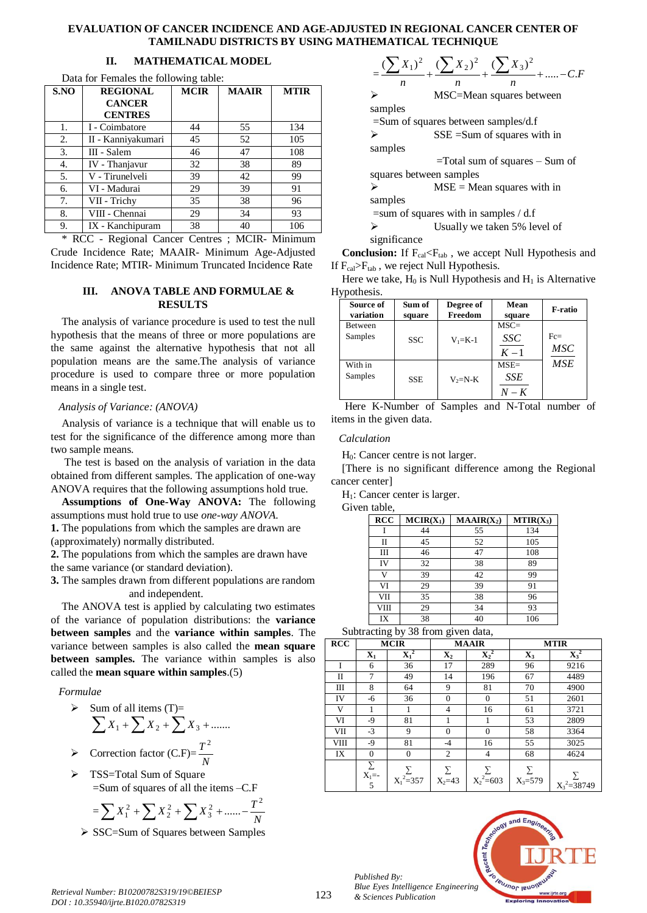#### **EVALUATION OF CANCER INCIDENCE AND AGE-ADJUSTED IN REGIONAL CANCER CENTER OF TAMILNADU DISTRICTS BY USING MATHEMATICAL TECHNIQUE**

# **II. MATHEMATICAL MODEL**

| S.NO | <b>REGIONAL</b>    | <b>MCIR</b> | <b>MAAIR</b> | <b>MTIR</b> |
|------|--------------------|-------------|--------------|-------------|
|      | <b>CANCER</b>      |             |              |             |
|      | <b>CENTRES</b>     |             |              |             |
| 1.   | I - Coimbatore     | 44          | 55           | 134         |
| 2.   | II - Kanniyakumari | 45          | 52           | 105         |
| 3.   | III - Salem        | 46          | 47           | 108         |
| 4.   | IV - Thanjavur     | 32          | 38           | 89          |
| 5.   | V - Tirunelveli    | 39          | 42           | 99          |
| 6.   | VI - Madurai       | 29          | 39           | 91          |
| 7.   | VII - Trichy       | 35          | 38           | 96          |
| 8.   | VIII - Chennai     | 29          | 34           | 93          |
| 9.   | IX - Kanchipuram   | 38          | 40           | 106         |

Data for Females the following table:

\* RCC - Regional Cancer Centres ; MCIR- Minimum Crude Incidence Rate; MAAIR- Minimum Age-Adjusted Incidence Rate; MTIR- Minimum Truncated Incidence Rate

#### **III. ANOVA TABLE AND FORMULAE & RESULTS**

The analysis of variance procedure is used to test the null hypothesis that the means of three or more populations are the same against the alternative hypothesis that not all population means are the same.The analysis of variance procedure is used to compare three or more population means in a single test.

#### *Analysis of Variance: (ANOVA)*

Analysis of variance is a technique that will enable us to test for the significance of the difference among more than two sample means.

The test is based on the analysis of variation in the data obtained from different samples. The application of one-way ANOVA requires that the following assumptions hold true.

**Assumptions of One-Way ANOVA:** The following assumptions must hold true to use *one-way ANOVA*.

**1.** The populations from which the samples are drawn are (approximately) normally distributed.

**2.** The populations from which the samples are drawn have the same variance (or standard deviation).

**3.** The samples drawn from different populations are random and independent.

The ANOVA test is applied by calculating two estimates of the variance of population distributions: the **variance between samples** and the **variance within samples**. The variance between samples is also called the **mean square between samples.** The variance within samples is also called the **mean square within samples**.(5)

## *Formulae*

- $\triangleright$  Sum of all items (T)=  $\sum X_1 + \sum X_2 + \sum X_3 + \dots$
- $\triangleright$  Correction factor (C.F)= $\frac{1}{N}$ *T* 2
- > TSS=Total Sum of Square =Sum of squares of all the items –C.F

$$
= \sum X_1^2 + \sum X_2^2 + \sum X_3^2 + \dots - \frac{T^2}{N}
$$

 $\triangleright$  SSC=Sum of Squares between Samples

|                         | $\sum X_2^2$<br>$(X_3)^2$                |
|-------------------------|------------------------------------------|
| n                       | n.<br>п                                  |
|                         | MSC=Mean squares between                 |
| samples                 |                                          |
|                         | $=$ Sum of squares between samples/d.f   |
| ↘                       | $SSE = Sum$ of squares with in           |
| samples                 |                                          |
|                         | $=$ Total sum of squares $-$ Sum of      |
| squares between samples |                                          |
| ↘                       | $MSE = Mean$ squares with in             |
| samples                 |                                          |
|                         | $=$ sum of squares with in samples / d.f |
| ↘                       | Usually we taken 5% level of             |
| significance            |                                          |

**Conclusion:** If F<sub>cal</sub><F<sub>tab</sub>, we accept Null Hypothesis and If  $F_{cal}$  $F_{tab}$ , we reject Null Hypothesis.

Here we take,  $H_0$  is Null Hypothesis and  $H_1$  is Alternative Hypothesis.

| Source of<br>variation | Sum of<br>square | Degree of<br>Freedom | Mean<br>square                 | F-ratio              |
|------------------------|------------------|----------------------|--------------------------------|----------------------|
| Between<br>Samples     | <b>SSC</b>       | $V_1 = K-1$          | $MSC =$<br><i>SSC</i><br>$K-1$ | $Fc =$<br><b>MSC</b> |
| With in<br>Samples     | <b>SSE</b>       | $V_2=N-K$            | $MSE =$<br>SSE<br>$N-K$        | <b>MSE</b>           |

Here K-Number of Samples and N-Total number of items in the given data.

## *Calculation*

H0: Cancer centre is not larger.

[There is no significant difference among the Regional cancer center]

H<sub>1</sub>: Cancer center is larger.

Given table,

| <b>RCC</b> | $MCIR(X_1)$ | $MAAIR(X_2)$ | $MTIR(X_3)$ |
|------------|-------------|--------------|-------------|
|            | 44          | 55           | 134         |
| П          | 45          | 52           | 105         |
| Ш          | 46          | 47           | 108         |
| IV         | 32          | 38           | 89          |
| v          | 39          | 42           | 99          |
| VI         | 29          | 39           | 91          |
| VII        | 35          | 38           | 96          |
| VIII       | 29          | 34           | 93          |
| IX         | 38          | 40           | 106         |

Subtracting by 38 from given data,

| <b>RCC</b> | <b>MCIR</b>                          |                  | <b>MAAIR</b>             |                  | <b>MTIR</b>      |                  |
|------------|--------------------------------------|------------------|--------------------------|------------------|------------------|------------------|
|            | $\mathbf{X}_1$                       | $\mathbf{X_1}^2$ | $\mathbf{X}_2$           | $\mathbf{X_2}^2$ | $\mathbf{X}_3$   | $\mathbf{X_3}^2$ |
| T          | 6                                    | 36               | 17                       | 289              | 96               | 9216             |
| П          | 7                                    | 49               | 14                       | 196              | 67               | 4489             |
| Ш          | 8                                    | 64               | 9                        | 81               | 70               | 4900             |
| IV         | -6                                   | 36               | $\Omega$                 | $\mathbf{0}$     | 51               | 2601             |
| V          |                                      |                  | $\overline{\mathcal{L}}$ | 16               | 61               | 3721             |
| VI         | -9                                   | 81               |                          |                  | 53               | 2809             |
| VII        | $-3$                                 | 9                | $\Omega$                 | $\mathbf{0}$     | 58               | 3364             |
| VIII       | -9                                   | 81               | $-4$                     | 16               | 55               | 3025             |
| IX         | $\theta$                             | $\mathbf{0}$     | $\overline{2}$           | 4                | 68               | 4624             |
|            | Σ<br>$\overline{X_1} = -\frac{1}{5}$ | $X_1^2=357$      | Σ<br>$X_2 = 43$          | $X_2^2=603$      | Σ<br>$X_3 = 579$ | $X_3^2 = 38749$  |